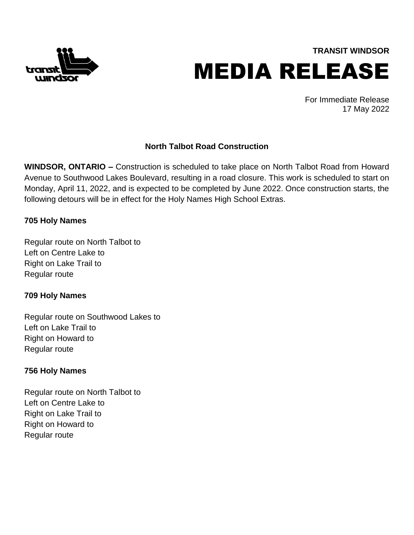

**TRANSIT WINDSOR** MEDIA RELEASE

> For Immediate Release 17 May 2022

# **North Talbot Road Construction**

**WINDSOR, ONTARIO –** Construction is scheduled to take place on North Talbot Road from Howard Avenue to Southwood Lakes Boulevard, resulting in a road closure. This work is scheduled to start on Monday, April 11, 2022, and is expected to be completed by June 2022. Once construction starts, the following detours will be in effect for the Holy Names High School Extras.

# **705 Holy Names**

Regular route on North Talbot to Left on Centre Lake to Right on Lake Trail to Regular route

# **709 Holy Names**

Regular route on Southwood Lakes to Left on Lake Trail to Right on Howard to Regular route

# **756 Holy Names**

Regular route on North Talbot to Left on Centre Lake to Right on Lake Trail to Right on Howard to Regular route